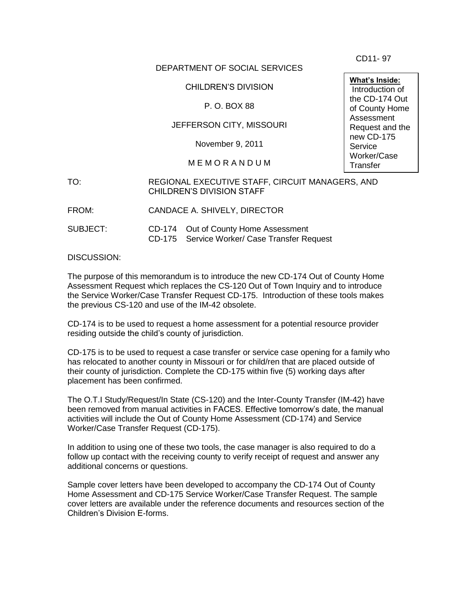CD11- 97

## DEPARTMENT OF SOCIAL SERVICES

CHILDREN'S DIVISION

P. O. BOX 88

## JEFFERSON CITY, MISSOURI

November 9, 2011

## M E M O R A N D U M

## TO: REGIONAL EXECUTIVE STAFF, CIRCUIT MANAGERS, AND CHILDREN'S DIVISION STAFF Request Tools.

FROM: CANDACE A. SHIVELY, DIRECTOR

SUBJECT: CD-174 Out of County Home Assessment CD-175 Service Worker/ Case Transfer Request

DISCUSSION:

The purpose of this memorandum is to introduce the new CD-174 Out of County Home Assessment Request which replaces the CS-120 Out of Town Inquiry and to introduce the Service Worker/Case Transfer Request CD-175. Introduction of these tools makes the previous CS-120 and use of the IM-42 obsolete.

CD-174 is to be used to request a home assessment for a potential resource provider residing outside the child's county of jurisdiction.

CD-175 is to be used to request a case transfer or service case opening for a family who has relocated to another county in Missouri or for child/ren that are placed outside of their county of jurisdiction. Complete the CD-175 within five (5) working days after placement has been confirmed.

The O.T.I Study/Request/In State (CS-120) and the Inter-County Transfer (IM-42) have been removed from manual activities in FACES. Effective tomorrow's date, the manual activities will include the Out of County Home Assessment (CD-174) and Service Worker/Case Transfer Request (CD-175).

In addition to using one of these two tools, the case manager is also required to do a follow up contact with the receiving county to verify receipt of request and answer any additional concerns or questions.

Sample cover letters have been developed to accompany the CD-174 Out of County Home Assessment and CD-175 Service Worker/Case Transfer Request. The sample cover letters are available under the reference documents and resources section of the Children's Division E-forms.

**What's Inside:** Introduction of the CD-174 Out of County Home Assessment Request and the new CD-175 **Service** Worker/Case **Transfer**